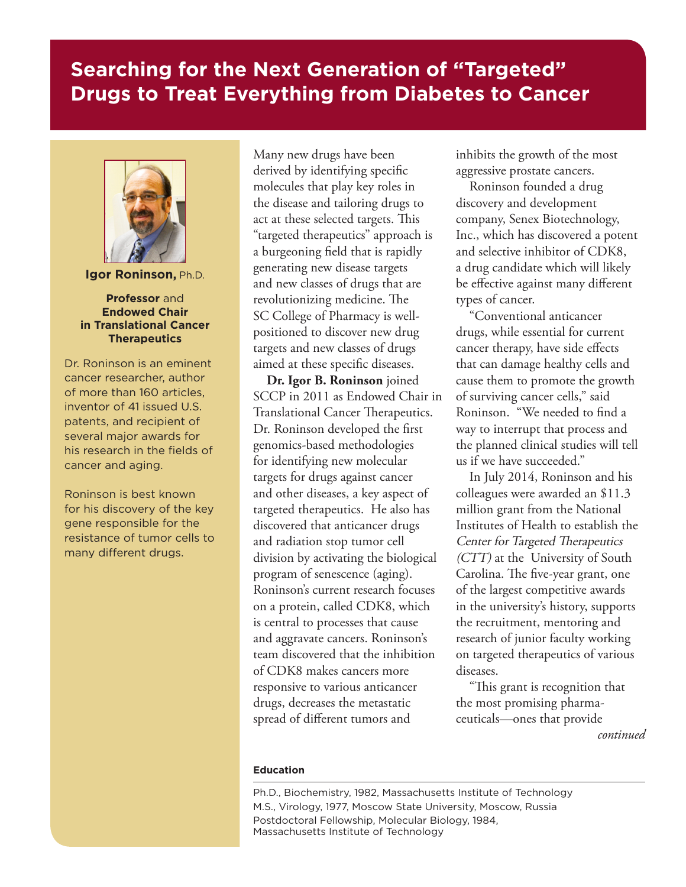## **Searching for the Next Generation of "Targeted" Drugs to Treat Everything from Diabetes to Cancer**



**Igor Roninson,** Ph.D.

## **Professor** and **Endowed Chair in Translational Cancer Therapeutics**

Dr. Roninson is an eminent cancer researcher, author of more than 160 articles, inventor of 41 issued U.S. patents, and recipient of several major awards for his research in the fields of cancer and aging.

Roninson is best known for his discovery of the key gene responsible for the resistance of tumor cells to many different drugs.

Many new drugs have been derived by identifying specific molecules that play key roles in the disease and tailoring drugs to act at these selected targets. This "targeted therapeutics" approach is a burgeoning field that is rapidly generating new disease targets and new classes of drugs that are revolutionizing medicine. The SC College of Pharmacy is wellpositioned to discover new drug targets and new classes of drugs aimed at these specific diseases.

**Dr. Igor B. Roninson** joined SCCP in 2011 as Endowed Chair in Translational Cancer Therapeutics. Dr. Roninson developed the first genomics-based methodologies for identifying new molecular targets for drugs against cancer and other diseases, a key aspect of targeted therapeutics. He also has discovered that anticancer drugs and radiation stop tumor cell division by activating the biological program of senescence (aging). Roninson's current research focuses on a protein, called CDK8, which is central to processes that cause and aggravate cancers. Roninson's team discovered that the inhibition of CDK8 makes cancers more responsive to various anticancer drugs, decreases the metastatic spread of different tumors and

inhibits the growth of the most aggressive prostate cancers.

Roninson founded a drug discovery and development company, Senex Biotechnology, Inc., which has discovered a potent and selective inhibitor of CDK8, a drug candidate which will likely be effective against many different types of cancer.

"Conventional anticancer drugs, while essential for current cancer therapy, have side effects that can damage healthy cells and cause them to promote the growth of surviving cancer cells," said Roninson. "We needed to find a way to interrupt that process and the planned clinical studies will tell us if we have succeeded."

In July 2014, Roninson and his colleagues were awarded an \$11.3 million grant from the National Institutes of Health to establish the Center for Targeted Therapeutics (CTT) at the University of South Carolina. The five-year grant, one of the largest competitive awards in the university's history, supports the recruitment, mentoring and research of junior faculty working on targeted therapeutics of various diseases.

"This grant is recognition that the most promising pharmaceuticals—ones that provide *continued*

## **Education**

Ph.D., Biochemistry, 1982, Massachusetts Institute of Technology M.S., Virology, 1977, Moscow State University, Moscow, Russia Postdoctoral Fellowship, Molecular Biology, 1984, Massachusetts Institute of Technology